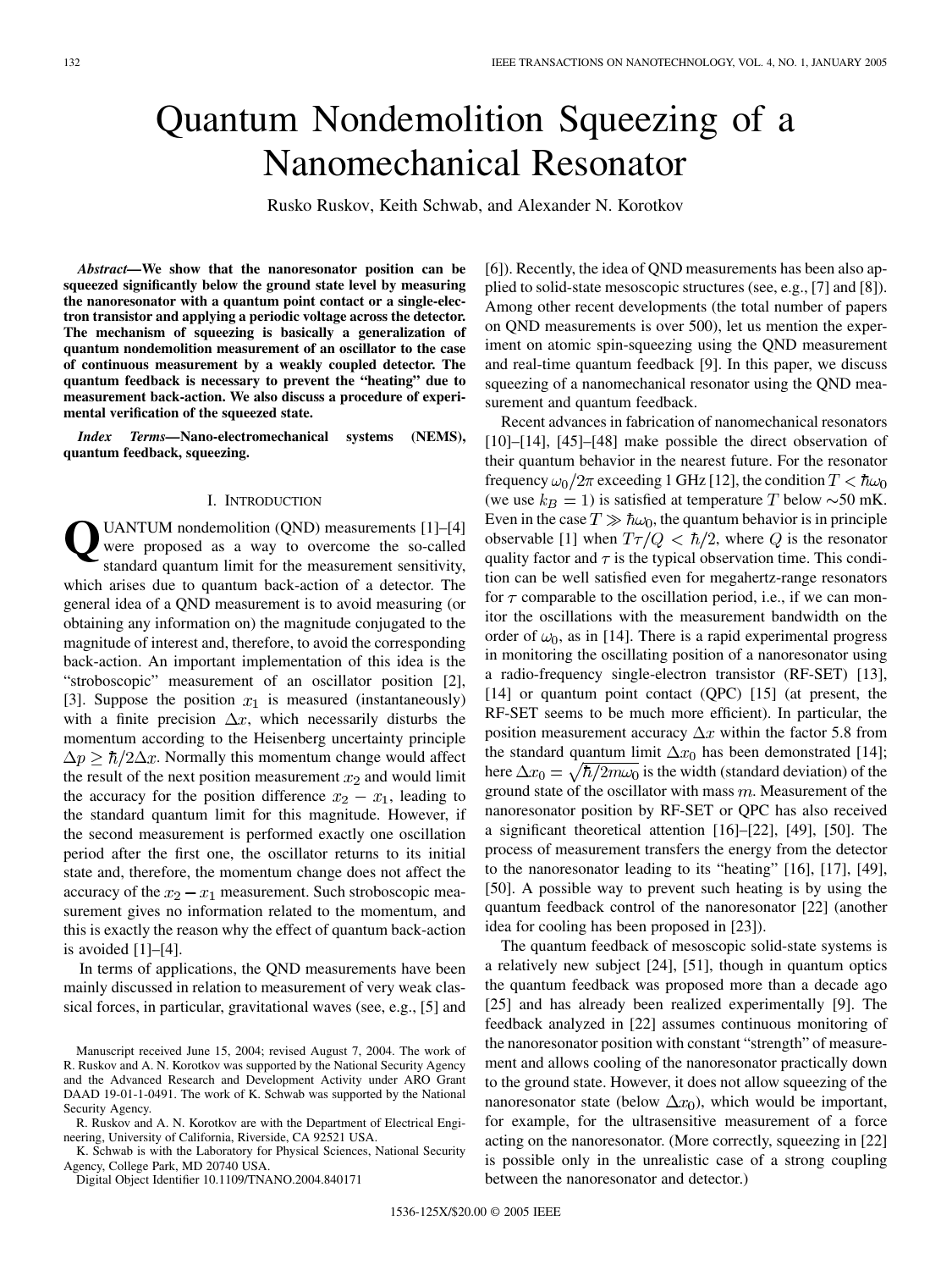# Quantum Nondemolition Squeezing of a Nanomechanical Resonator

Rusko Ruskov, Keith Schwab, and Alexander N. Korotkov

*Abstract—***We show that the nanoresonator position can be squeezed significantly below the ground state level by measuring the nanoresonator with a quantum point contact or a single-electron transistor and applying a periodic voltage across the detector. The mechanism of squeezing is basically a generalization of quantum nondemolition measurement of an oscillator to the case of continuous measurement by a weakly coupled detector. The quantum feedback is necessary to prevent the "heating" due to measurement back-action. We also discuss a procedure of experimental verification of the squeezed state.**

*Index Terms—***Nano-electromechanical systems (NEMS), quantum feedback, squeezing.**

## I. INTRODUCTION

**Q**UANTUM nondemolition (QND) measurements [[1\]](#page-7-0)–[\[4](#page-7-0)] were proposed as a way to overcome the so-called standard quantum limit for the measurement sensitivity, which arises due to quantum back-action of a detector. The general idea of a QND measurement is to avoid measuring (or obtaining any information on) the magnitude conjugated to the magnitude of interest and, therefore, to avoid the corresponding back-action. An important implementation of this idea is the "stroboscopic" measurement of an oscillator position [[2\]](#page-7-0), [[3\]](#page-7-0). Suppose the position  $x_1$  is measured (instantaneously) with a finite precision  $\Delta x$ , which necessarily disturbs the momentum according to the Heisenberg uncertainty principle  $\Delta p \geq \hbar/2\Delta x$ . Normally this momentum change would affect the result of the next position measurement  $x_2$  and would limit the accuracy for the position difference  $x_2 - x_1$ , leading to the standard quantum limit for this magnitude. However, if the second measurement is performed exactly one oscillation period after the first one, the oscillator returns to its initial state and, therefore, the momentum change does not affect the accuracy of the  $x_2 - x_1$  measurement. Such stroboscopic measurement gives no information related to the momentum, and this is exactly the reason why the effect of quantum back-action is avoided [[1\]](#page-7-0)–[\[4](#page-7-0)].

In terms of applications, the QND measurements have been mainly discussed in relation to measurement of very weak classical forces, in particular, gravitational waves (see, e.g., [[5\]](#page-7-0) and

K. Schwab is with the Laboratory for Physical Sciences, National Security Agency, College Park, MD 20740 USA.

Digital Object Identifier 10.1109/TNANO.2004.840171

[[6\]](#page-7-0)). Recently, the idea of QND measurements has been also applied to solid-state mesoscopic structures (see, e.g., [\[7](#page-7-0)] and [[8\]](#page-7-0)). Among other recent developments (the total number of papers on QND measurements is over 500), let us mention the experiment on atomic spin-squeezing using the QND measurement and real-time quantum feedback [[9\]](#page-7-0). In this paper, we discuss squeezing of a nanomechanical resonator using the QND measurement and quantum feedback.

Recent advances in fabrication of nanomechanical resonators [[10\]](#page-7-0)–[[14](#page-7-0)], [[45\]](#page-8-0)–[\[48](#page-8-0)] make possible the direct observation of their quantum behavior in the nearest future. For the resonator frequency  $\omega_0/2\pi$  exceeding 1 GHz [[12\]](#page-7-0), the condition  $T < \hbar \omega_0$ (we use  $k_B = 1$ ) is satisfied at temperature T below  $\sim 50$  mK. Even in the case  $T \gg \hbar \omega_0$ , the quantum behavior is in principle observable [\[1](#page-7-0)] when  $T\tau/Q < \hbar/2$ , where Q is the resonator quality factor and  $\tau$  is the typical observation time. This condition can be well satisfied even for megahertz-range resonators for  $\tau$  comparable to the oscillation period, i.e., if we can monitor the oscillations with the measurement bandwidth on the order of  $\omega_0$ , as in [[14\]](#page-7-0). There is a rapid experimental progress in monitoring the oscillating position of a nanoresonator using a radio-frequency single-electron transistor (RF-SET) [[13\]](#page-7-0), [[14\]](#page-7-0) or quantum point contact (QPC) [\[15](#page-7-0)] (at present, the RF-SET seems to be much more efficient). In particular, the position measurement accuracy  $\Delta x$  within the factor 5.8 from the standard quantum limit  $\Delta x_0$  has been demonstrated [[14\]](#page-7-0); here  $\Delta x_0 = \sqrt{\hbar/2m\omega_0}$  is the width (standard deviation) of the ground state of the oscillator with mass  $m$ . Measurement of the nanoresonator position by RF-SET or QPC has also received a significant theoretical attention [\[16](#page-7-0)]–[[22\]](#page-7-0), [[49\]](#page-8-0), [[50\]](#page-8-0). The process of measurement transfers the energy from the detector to the nanoresonator leading to its "heating" [\[16](#page-7-0)], [\[17](#page-7-0)], [[49\]](#page-8-0), [[50\]](#page-8-0). A possible way to prevent such heating is by using the quantum feedback control of the nanoresonator [[22\]](#page-7-0) (another idea for cooling has been proposed in [\[23](#page-7-0)]).

The quantum feedback of mesoscopic solid-state systems is a relatively new subject [[24\]](#page-7-0), [\[51](#page-8-0)], though in quantum optics the quantum feedback was proposed more than a decade ago [[25\]](#page-7-0) and has already been realized experimentally [[9\]](#page-7-0). The feedback analyzed in [\[22](#page-7-0)] assumes continuous monitoring of the nanoresonator position with constant "strength" of measurement and allows cooling of the nanoresonator practically down to the ground state. However, it does not allow squeezing of the nanoresonator state (below  $\Delta x_0$ ), which would be important, for example, for the ultrasensitive measurement of a force acting on the nanoresonator. (More correctly, squeezing in [\[22](#page-7-0)] is possible only in the unrealistic case of a strong coupling between the nanoresonator and detector.)

Manuscript received June 15, 2004; revised August 7, 2004. The work of R. Ruskov and A. N. Korotkov was supported by the National Security Agency and the Advanced Research and Development Activity under ARO Grant DAAD 19-01-1-0491. The work of K. Schwab was supported by the National Security Agency.

R. Ruskov and A. N. Korotkov are with the Department of Electrical Engineering, University of California, Riverside, CA 92521 USA.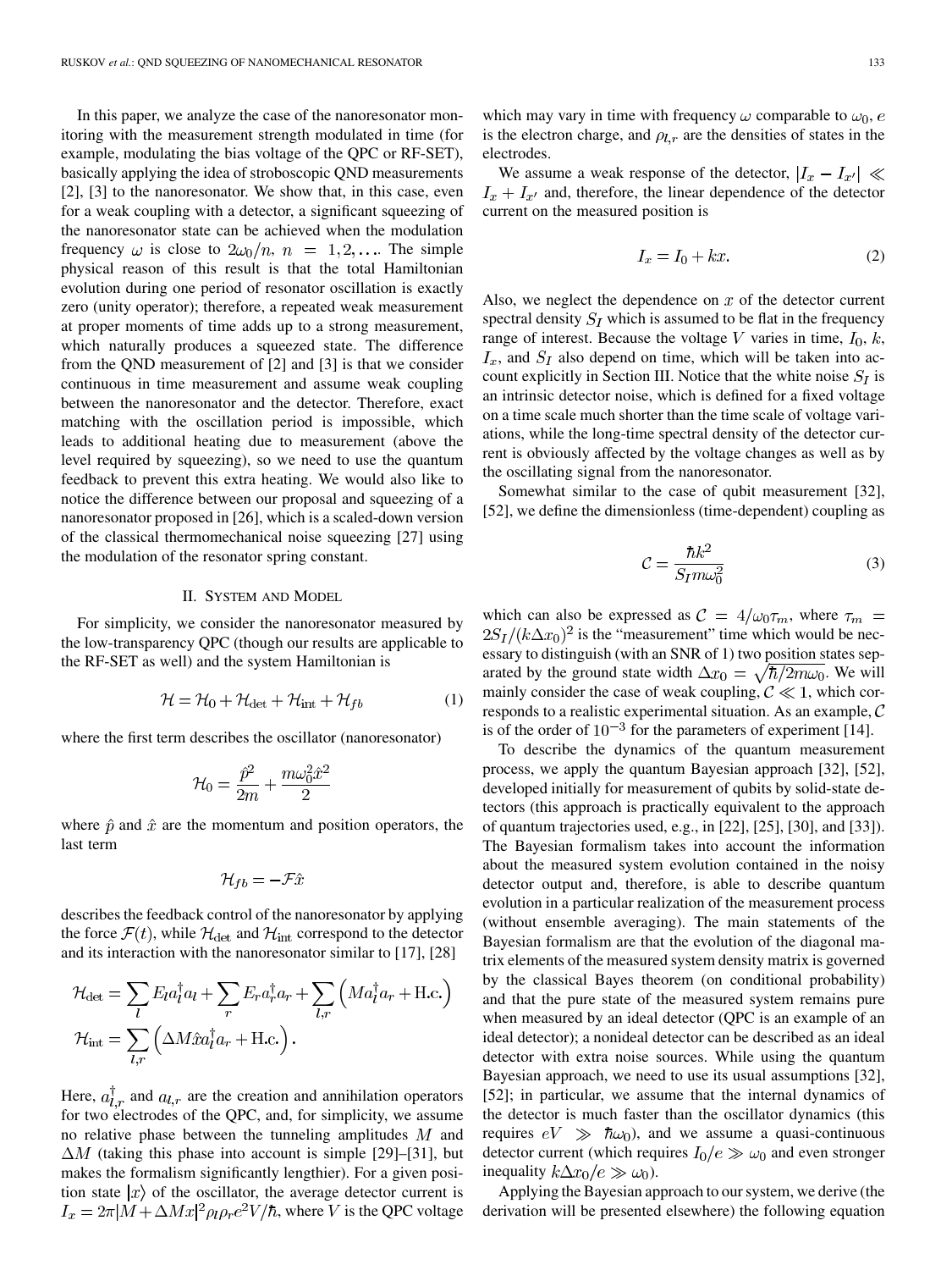In this paper, we analyze the case of the nanoresonator monitoring with the measurement strength modulated in time (for example, modulating the bias voltage of the QPC or RF-SET), basically applying the idea of stroboscopic QND measurements [\[2](#page-7-0)], [[3\]](#page-7-0) to the nanoresonator. We show that, in this case, even for a weak coupling with a detector, a significant squeezing of the nanoresonator state can be achieved when the modulation frequency  $\omega$  is close to  $2\omega_0/n$ ,  $n = 1, 2, \dots$ . The simple physical reason of this result is that the total Hamiltonian evolution during one period of resonator oscillation is exactly zero (unity operator); therefore, a repeated weak measurement at proper moments of time adds up to a strong measurement, which naturally produces a squeezed state. The difference from the QND measurement of [\[2](#page-7-0)] and [\[3](#page-7-0)] is that we consider continuous in time measurement and assume weak coupling between the nanoresonator and the detector. Therefore, exact matching with the oscillation period is impossible, which leads to additional heating due to measurement (above the level required by squeezing), so we need to use the quantum feedback to prevent this extra heating. We would also like to notice the difference between our proposal and squeezing of a nanoresonator proposed in [\[26](#page-8-0)], which is a scaled-down version of the classical thermomechanical noise squeezing [[27\]](#page-8-0) using the modulation of the resonator spring constant.

#### II. SYSTEM AND MODEL

For simplicity, we consider the nanoresonator measured by the low-transparency QPC (though our results are applicable to the RF-SET as well) and the system Hamiltonian is

$$
\mathcal{H} = \mathcal{H}_0 + \mathcal{H}_{\text{det}} + \mathcal{H}_{\text{int}} + \mathcal{H}_{fb} \tag{1}
$$

where the first term describes the oscillator (nanoresonator)

$$
\mathcal{H}_0 = \frac{\hat{p}^2}{2m} + \frac{m\omega_0^2 \hat{x}^2}{2}
$$

where  $\hat{p}$  and  $\hat{x}$  are the momentum and position operators, the last term

$$
\mathcal{H}_{fb} = -\mathcal{F}\hat{x}
$$

describes the feedback control of the nanoresonator by applying the force  $\mathcal{F}(t)$ , while  $\mathcal{H}_{\text{det}}$  and  $\mathcal{H}_{\text{int}}$  correspond to the detector and its interaction with the nanoresonator similar to [[17\]](#page-7-0), [\[28](#page-8-0)]

$$
\mathcal{H}_{\text{det}} = \sum_{l} E_{l} a_{l}^{\dagger} a_{l} + \sum_{r} E_{r} a_{r}^{\dagger} a_{r} + \sum_{l,r} \left( Ma_{l}^{\dagger} a_{r} + \text{H.c.} \right)
$$

$$
\mathcal{H}_{\text{int}} = \sum_{l,r} \left( \Delta M \hat{x} a_{l}^{\dagger} a_{r} + \text{H.c.} \right).
$$

Here,  $a_{1,r}^{\dagger}$  and  $a_{l,r}$  are the creation and annihilation operators for two electrodes of the QPC, and, for simplicity, we assume no relative phase between the tunneling amplitudes  $M$  and  $\Delta M$  (taking this phase into account is simple [[29\]](#page-8-0)–[\[31](#page-8-0)], but makes the formalism significantly lengthier). For a given position state  $|x\rangle$  of the oscillator, the average detector current is  $I_x = 2\pi |M + \Delta Mx|^2 \rho_l \rho_r e^2 V/\hbar$ , where V is the QPC voltage which may vary in time with frequency  $\omega$  comparable to  $\omega_0$ , e is the electron charge, and  $\rho_{l,r}$  are the densities of states in the electrodes.

We assume a weak response of the detector,  $|I_x - I_{x'}| \ll$  $I_x + I_{x'}$  and, therefore, the linear dependence of the detector current on the measured position is

$$
I_x = I_0 + kx.\t\t(2)
$$

Also, we neglect the dependence on  $x$  of the detector current spectral density  $S_I$  which is assumed to be flat in the frequency range of interest. Because the voltage V varies in time,  $I_0$ , k,  $I_x$ , and  $S_I$  also depend on time, which will be taken into account explicitly in Section III. Notice that the white noise  $S_I$  is an intrinsic detector noise, which is defined for a fixed voltage on a time scale much shorter than the time scale of voltage variations, while the long-time spectral density of the detector current is obviously affected by the voltage changes as well as by the oscillating signal from the nanoresonator.

Somewhat similar to the case of qubit measurement [\[32](#page-8-0)], [\[52](#page-8-0)], we define the dimensionless (time-dependent) coupling as

$$
\mathcal{C} = \frac{\hbar k^2}{S_{I} m \omega_0^2} \tag{3}
$$

which can also be expressed as  $C = 4/\omega_0 \tau_m$ , where  $\tau_m =$  $2S_I/(k\Delta x_0)^2$  is the "measurement" time which would be necessary to distinguish (with an SNR of 1) two position states separated by the ground state width  $\Delta x_0 = \sqrt{\hbar/2m\omega_0}$ . We will mainly consider the case of weak coupling,  $C \ll 1$ , which corresponds to a realistic experimental situation. As an example,  $C$ is of the order of  $10^{-3}$  for the parameters of experiment [[14\]](#page-7-0).

To describe the dynamics of the quantum measurement process, we apply the quantum Bayesian approach [[32\]](#page-8-0), [\[52](#page-8-0)], developed initially for measurement of qubits by solid-state detectors (this approach is practically equivalent to the approach of quantum trajectories used, e.g., in [[22\]](#page-7-0), [\[25](#page-7-0)], [[30\]](#page-8-0), and [\[33](#page-8-0)]). The Bayesian formalism takes into account the information about the measured system evolution contained in the noisy detector output and, therefore, is able to describe quantum evolution in a particular realization of the measurement process (without ensemble averaging). The main statements of the Bayesian formalism are that the evolution of the diagonal matrix elements of the measured system density matrix is governed by the classical Bayes theorem (on conditional probability) and that the pure state of the measured system remains pure when measured by an ideal detector (QPC is an example of an ideal detector); a nonideal detector can be described as an ideal detector with extra noise sources. While using the quantum Bayesian approach, we need to use its usual assumptions [\[32](#page-8-0)], [\[52](#page-8-0)]; in particular, we assume that the internal dynamics of the detector is much faster than the oscillator dynamics (this requires  $eV \gg \hbar \omega_0$ , and we assume a quasi-continuous detector current (which requires  $I_0/e \gg \omega_0$  and even stronger inequality  $k\Delta x_0/e \gg \omega_0$ ).

Applying the Bayesian approach to our system, we derive (the derivation will be presented elsewhere) the following equation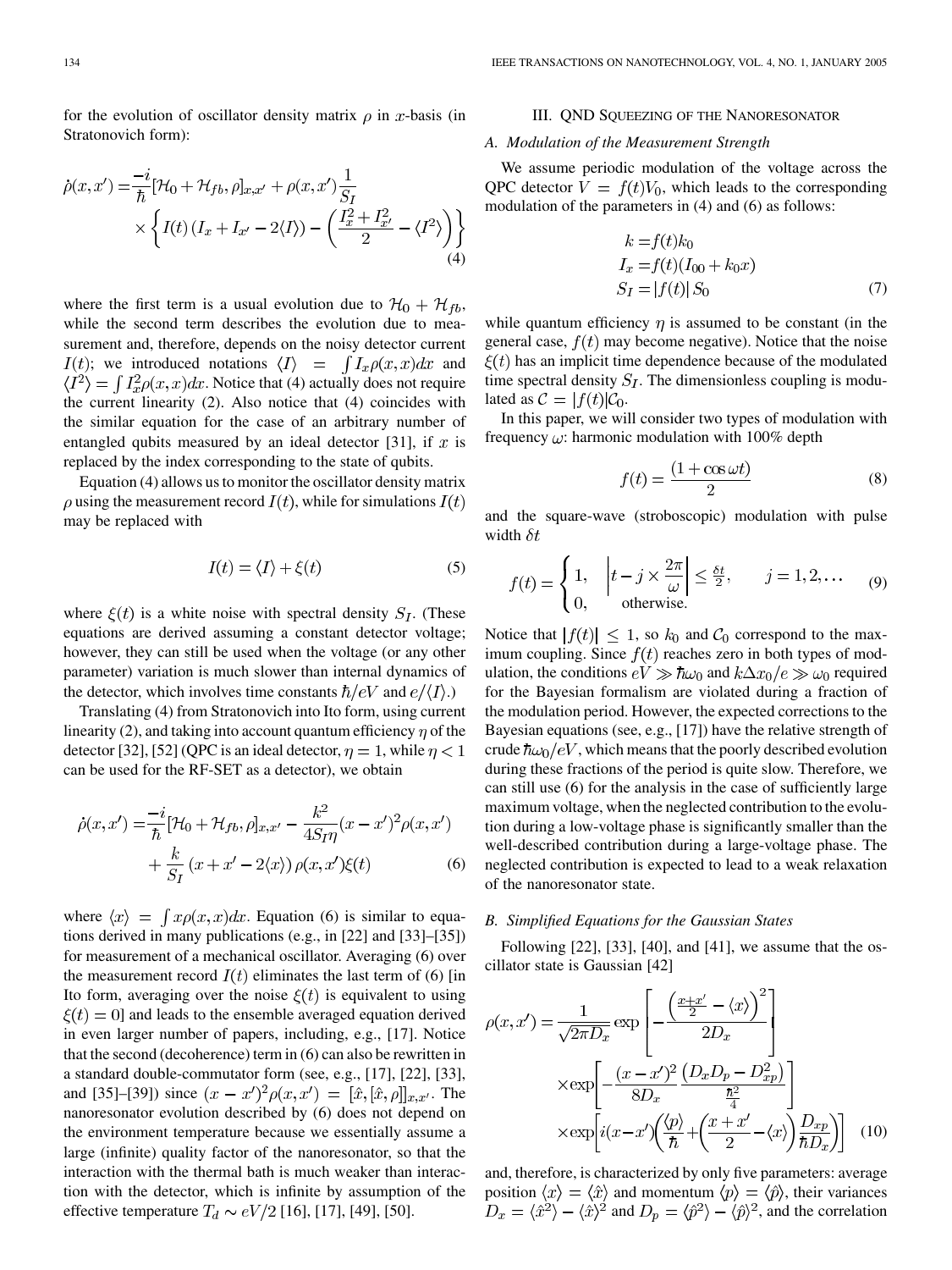for the evolution of oscillator density matrix  $\rho$  in x-basis (in Stratonovich form):

$$
\dot{\rho}(x, x') = \frac{-i}{\hbar} [\mathcal{H}_0 + \mathcal{H}_{fb}, \rho]_{x, x'} + \rho(x, x') \frac{1}{S_I} \times \left\{ I(t) \left( I_x + I_{x'} - 2 \langle I \rangle \right) - \left( \frac{I_x^2 + I_{x'}^2}{2} - \langle I^2 \rangle \right) \right\}
$$
\n(4)

where the first term is a usual evolution due to  $\mathcal{H}_0 + \mathcal{H}_{tb}$ , while the second term describes the evolution due to measurement and, therefore, depends on the noisy detector current  $I(t)$ ; we introduced notations  $\langle I \rangle$  =  $\int I_x \rho(x,x) dx$  and  $\langle I^2 \rangle = \int I_x^2 \rho(x, x) dx$ . Notice that (4) actually does not require the current linearity (2). Also notice that (4) coincides with the similar equation for the case of an arbitrary number of entangled qubits measured by an ideal detector [[31\]](#page-8-0), if  $x$  is replaced by the index corresponding to the state of qubits.

Equation (4) allows us to monitor the oscillator density matrix  $\rho$  using the measurement record  $I(t)$ , while for simulations  $I(t)$ may be replaced with

$$
I(t) = \langle I \rangle + \xi(t) \tag{5}
$$

where  $\xi(t)$  is a white noise with spectral density  $S_I$ . (These equations are derived assuming a constant detector voltage; however, they can still be used when the voltage (or any other parameter) variation is much slower than internal dynamics of the detector, which involves time constants  $\hbar/eV$  and  $e/\langle I \rangle$ .)

Translating (4) from Stratonovich into Ito form, using current linearity (2), and taking into account quantum efficiency  $\eta$  of the detector [[32\]](#page-8-0), [[52\]](#page-8-0) (QPC is an ideal detector,  $\eta = 1$ , while  $\eta < 1$ can be used for the RF-SET as a detector), we obtain

$$
\dot{\rho}(x, x') = \frac{-i}{\hbar} [\mathcal{H}_0 + \mathcal{H}_{fb}, \rho]_{x, x'} - \frac{k^2}{4S_I \eta} (x - x')^2 \rho(x, x')
$$

$$
+ \frac{k}{S_I} (x + x' - 2\langle x \rangle) \rho(x, x') \xi(t) \tag{6}
$$

where  $\langle x \rangle = \int x \rho(x, x) dx$ . Equation (6) is similar to equations derived in many publications (e.g., in [\[22](#page-7-0)] and [\[33](#page-8-0)]–[\[35](#page-8-0)]) for measurement of a mechanical oscillator. Averaging (6) over the measurement record  $I(t)$  eliminates the last term of (6) [in Ito form, averaging over the noise  $\xi(t)$  is equivalent to using  $\xi(t) = 0$ ] and leads to the ensemble averaged equation derived in even larger number of papers, including, e.g., [[17\]](#page-7-0). Notice that the second (decoherence) term in (6) can also be rewritten in a standard double-commutator form (see, e.g., [\[17](#page-7-0)], [\[22\]](#page-7-0), [[33\]](#page-8-0), and [[35\]](#page-8-0)–[[39\]](#page-8-0)) since  $(x - x')^2 \rho(x, x') = [\hat{x}, [\hat{x}, \rho]]_{x, x'}$ . The nanoresonator evolution described by (6) does not depend on the environment temperature because we essentially assume a large (infinite) quality factor of the nanoresonator, so that the interaction with the thermal bath is much weaker than interaction with the detector, which is infinite by assumption of the effective temperature  $T_d \sim eV/2$  [\[16](#page-7-0)], [[17\]](#page-7-0), [\[49](#page-8-0)], [\[50](#page-8-0)].

# III. QND SQUEEZING OF THE NANORESONATOR

## *A. Modulation of the Measurement Strength*

We assume periodic modulation of the voltage across the QPC detector  $V = f(t)V_0$ , which leads to the corresponding modulation of the parameters in (4) and (6) as follows:

$$
k = f(t)k_0
$$
  
\n
$$
I_x = f(t)(I_{00} + k_0x)
$$
  
\n
$$
S_I = |f(t)| S_0
$$
\n(7)

while quantum efficiency  $\eta$  is assumed to be constant (in the general case,  $f(t)$  may become negative). Notice that the noise  $\xi(t)$  has an implicit time dependence because of the modulated time spectral density  $S_I$ . The dimensionless coupling is modulated as  $C = |f(t)|C_0$ .

In this paper, we will consider two types of modulation with frequency  $\omega$ : harmonic modulation with 100% depth

$$
f(t) = \frac{(1 + \cos \omega t)}{2} \tag{8}
$$

and the square-wave (stroboscopic) modulation with pulse width  $\delta t$ 

$$
f(t) = \begin{cases} 1, & \left| t - j \times \frac{2\pi}{\omega} \right| \le \frac{\delta t}{2}, & j = 1, 2, \dots \\ 0, & \text{otherwise.} \end{cases}
$$
 (9)

Notice that  $|f(t)| \leq 1$ , so  $k_0$  and  $C_0$  correspond to the maximum coupling. Since  $f(t)$  reaches zero in both types of modulation, the conditions  $eV \gg \hbar \omega_0$  and  $k \Delta x_0/e \gg \omega_0$  required for the Bayesian formalism are violated during a fraction of the modulation period. However, the expected corrections to the Bayesian equations (see, e.g., [\[17](#page-7-0)]) have the relative strength of crude  $\hbar \omega_0 / eV$ , which means that the poorly described evolution during these fractions of the period is quite slow. Therefore, we can still use (6) for the analysis in the case of sufficiently large maximum voltage, when the neglected contribution to the evolution during a low-voltage phase is significantly smaller than the well-described contribution during a large-voltage phase. The neglected contribution is expected to lead to a weak relaxation of the nanoresonator state.

#### *B. Simplified Equations for the Gaussian States*

Following [\[22](#page-7-0)], [\[33](#page-8-0)], [[40](#page-8-0)], and [[41\]](#page-8-0), we assume that the oscillator state is Gaussian [[42\]](#page-8-0)

$$
\rho(x, x') = \frac{1}{\sqrt{2\pi D_x}} \exp\left[-\frac{\left(\frac{x+x'}{2} - \langle x \rangle\right)^2}{2D_x}\right] \times \exp\left[-\frac{(x-x')^2}{8D_x} \frac{\left(D_x D_p - D_{xp}^2\right)}{\frac{\hbar^2}{4}}\right] \times \exp\left[i(x-x')\left(\frac{\langle p \rangle}{\hbar} + \left(\frac{x+x'}{2} - \langle x \rangle\right) \frac{D_{xp}}{\hbar D_x}\right)\right] (10)
$$

and, therefore, is characterized by only five parameters: average position  $\langle x \rangle = \langle \hat{x} \rangle$  and momentum  $\langle p \rangle = \langle \hat{p} \rangle$ , their variances and  $D_p = \langle \hat{p}^2 \rangle - \langle \hat{p} \rangle^2$ , and the correlation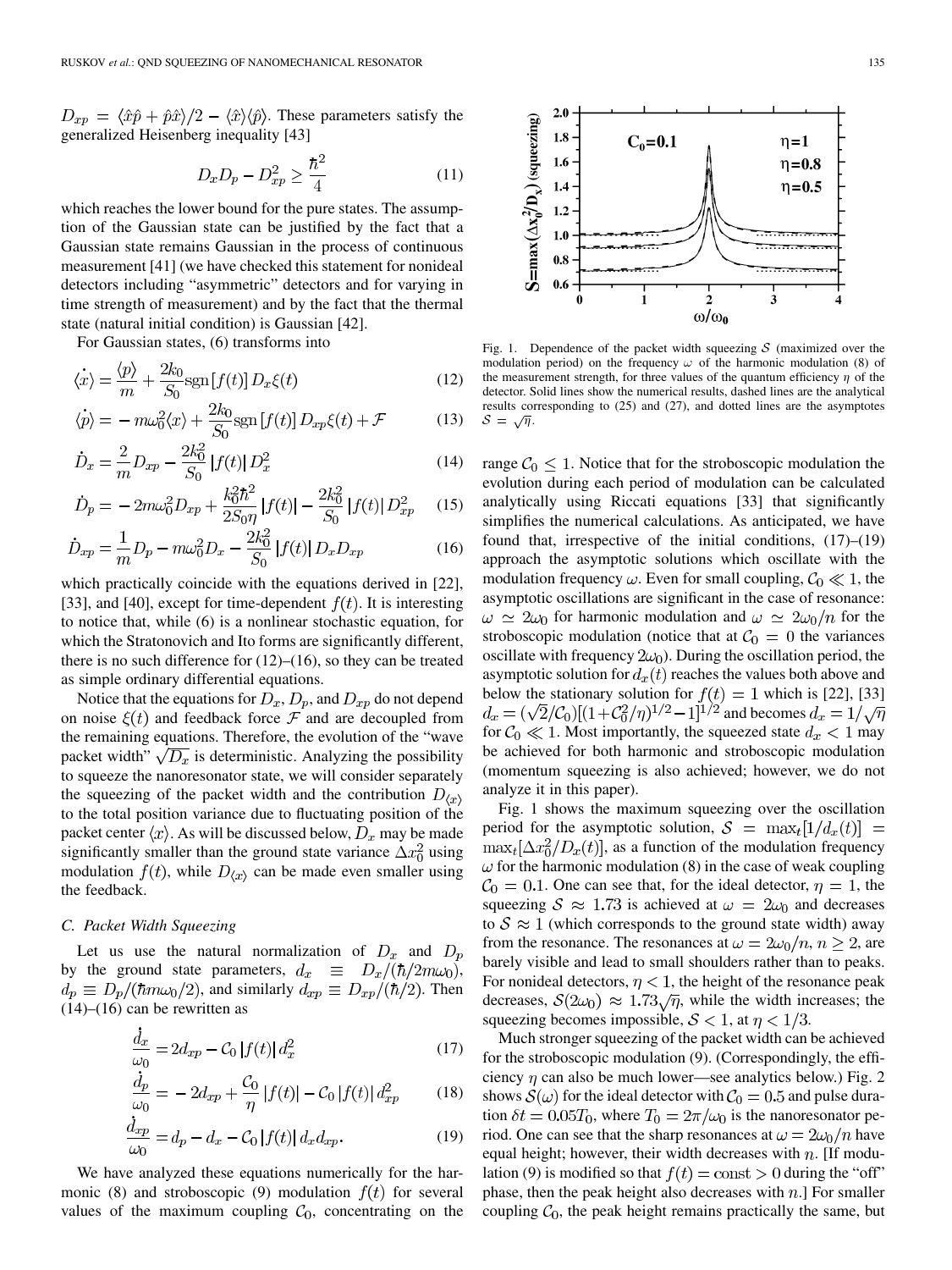$D_{xp} = \langle \hat{x} \hat{p} + \hat{p} \hat{x} \rangle/2 - \langle \hat{x} \rangle \langle \hat{p} \rangle$ . These parameters satisfy the generalized Heisenberg inequality [[43\]](#page-8-0)

$$
D_x D_p - D_{xp}^2 \ge \frac{\hbar^2}{4} \tag{11}
$$

which reaches the lower bound for the pure states. The assumption of the Gaussian state can be justified by the fact that a Gaussian state remains Gaussian in the process of continuous measurement [[41\]](#page-8-0) (we have checked this statement for nonideal detectors including "asymmetric" detectors and for varying in time strength of measurement) and by the fact that the thermal state (natural initial condition) is Gaussian [[42\]](#page-8-0).

For Gaussian states, (6) transforms into

$$
\langle \dot{x} \rangle = \frac{\langle p \rangle}{m} + \frac{2k_0}{S_0} \text{sgn}[f(t)] D_x \xi(t)
$$
\n(12)

$$
\langle \dot{p} \rangle = -m\omega_0^2 \langle x \rangle + \frac{2k_0}{S_0} \text{sgn}[f(t)] D_{xp}\xi(t) + \mathcal{F}
$$
 (13)

$$
\dot{D}_x = \frac{2}{m} D_{xp} - \frac{2k_0^2}{S_0} |f(t)| D_x^2
$$
\n(14)

$$
\dot{D}_p = -2m\omega_0^2 D_{xp} + \frac{k_0^2 \hbar^2}{2S_0 \eta} |f(t)| - \frac{2k_0^2}{S_0} |f(t)| D_{xp}^2 \tag{15}
$$

$$
\dot{D}_{xp} = \frac{1}{m}D_p - m\omega_0^2 D_x - \frac{2k_0^2}{S_0} |f(t)| D_x D_{xp}
$$
\n(16)

which practically coincide with the equations derived in [\[22](#page-7-0)], [\[33](#page-8-0)], and [\[40](#page-8-0)], except for time-dependent  $f(t)$ . It is interesting to notice that, while (6) is a nonlinear stochastic equation, for which the Stratonovich and Ito forms are significantly different, there is no such difference for  $(12)$ – $(16)$ , so they can be treated as simple ordinary differential equations.

Notice that the equations for  $D_x, D_p$ , and  $D_{xp}$  do not depend on noise  $\xi(t)$  and feedback force  $\mathcal F$  and are decoupled from the remaining equations. Therefore, the evolution of the "wave packet width"  $\sqrt{D_x}$  is deterministic. Analyzing the possibility to squeeze the nanoresonator state, we will consider separately the squeezing of the packet width and the contribution  $D_{\langle x \rangle}$ to the total position variance due to fluctuating position of the packet center  $\langle x \rangle$ . As will be discussed below,  $D_x$  may be made significantly smaller than the ground state variance  $\Delta x_0^2$  using modulation  $f(t)$ , while  $D_{\langle x \rangle}$  can be made even smaller using the feedback.

# *C. Packet Width Squeezing*

Let us use the natural normalization of  $D_x$  and  $D_p$ by the ground state parameters,  $d_x \equiv D_x/(\hbar/2m\omega_0)$ ,  $d_p \equiv D_p/(\hbar m \omega_0/2)$ , and similarly  $d_{xp} \equiv D_{xp}/(\hbar/2)$ . Then  $(14)$ – $(16)$  can be rewritten as

$$
\frac{d_x}{\omega_0} = 2d_{xp} - C_0 |f(t)| d_x^2
$$
\n(17)

$$
\frac{d_p}{\omega_0} = -2d_{xp} + \frac{C_0}{\eta} |f(t)| - C_0 |f(t)| d_{xp}^2 \tag{18}
$$

$$
\frac{d_{xp}}{\omega_0} = d_p - d_x - C_0 |f(t)| d_x d_{xp}.\tag{19}
$$

We have analyzed these equations numerically for the harmonic (8) and stroboscopic (9) modulation  $f(t)$  for several values of the maximum coupling  $C_0$ , concentrating on the



Fig. 1. Dependence of the packet width squeezing  $S$  (maximized over the modulation period) on the frequency  $\omega$  of the harmonic modulation (8) of the measurement strength, for three values of the quantum efficiency  $\eta$  of the detector. Solid lines show the numerical results, dashed lines are the analytical results corresponding to (25) and (27), and dotted lines are the asymptotes  $S = \sqrt{\eta}$ .

range  $C_0 \leq 1$ . Notice that for the stroboscopic modulation the evolution during each period of modulation can be calculated analytically using Riccati equations [[33\]](#page-8-0) that significantly simplifies the numerical calculations. As anticipated, we have found that, irrespective of the initial conditions, (17)–(19) approach the asymptotic solutions which oscillate with the modulation frequency  $\omega$ . Even for small coupling,  $\mathcal{C}_0 \ll 1$ , the asymptotic oscillations are significant in the case of resonance:  $\omega \simeq 2\omega_0$  for harmonic modulation and  $\omega \simeq 2\omega_0/n$  for the stroboscopic modulation (notice that at  $C_0 = 0$  the variances oscillate with frequency  $2\omega_0$ ). During the oscillation period, the asymptotic solution for  $d_x(t)$  reaches the values both above and below the stationary solution for  $f(t) = 1$  which is [[22\]](#page-7-0), [[33\]](#page-8-0)  $d_x = (\sqrt{2}/C_0)[(1+C_0^2/\eta)^{1/2}-1]^{1/2}$  and becomes  $d_x = 1/\sqrt{\eta}$ for  $C_0 \ll 1$ . Most importantly, the squeezed state  $d_x < 1$  may be achieved for both harmonic and stroboscopic modulation (momentum squeezing is also achieved; however, we do not analyze it in this paper).

Fig. 1 shows the maximum squeezing over the oscillation period for the asymptotic solution,  $S = \max_t [1/d_x(t)] =$  $\max_t[\Delta x_0^2/D_x(t)]$ , as a function of the modulation frequency  $\omega$  for the harmonic modulation (8) in the case of weak coupling  $C_0 = 0.1$ . One can see that, for the ideal detector,  $\eta = 1$ , the squeezing  $S \approx 1.73$  is achieved at  $\omega = 2\omega_0$  and decreases to  $S \approx 1$  (which corresponds to the ground state width) away from the resonance. The resonances at  $\omega = 2\omega_0/n$ ,  $n \ge 2$ , are barely visible and lead to small shoulders rather than to peaks. For nonideal detectors,  $\eta$  < 1, the height of the resonance peak decreases,  $S(2\omega_0) \approx 1.73\sqrt{\eta}$ , while the width increases; the squeezing becomes impossible,  $S < 1$ , at  $\eta < 1/3$ .

Much stronger squeezing of the packet width can be achieved for the stroboscopic modulation (9). (Correspondingly, the efficiency  $\eta$  can also be much lower—see analytics below.) Fig. 2 shows  $S(\omega)$  for the ideal detector with  $C_0 = 0.5$  and pulse duration  $\delta t = 0.05T_0$ , where  $T_0 = 2\pi/\omega_0$  is the nanoresonator period. One can see that the sharp resonances at  $\omega = 2\omega_0/n$  have equal height; however, their width decreases with  $n$ . [If modulation (9) is modified so that  $f(t) = \text{const} > 0$  during the "off" phase, then the peak height also decreases with  $n$ . For smaller coupling  $C_0$ , the peak height remains practically the same, but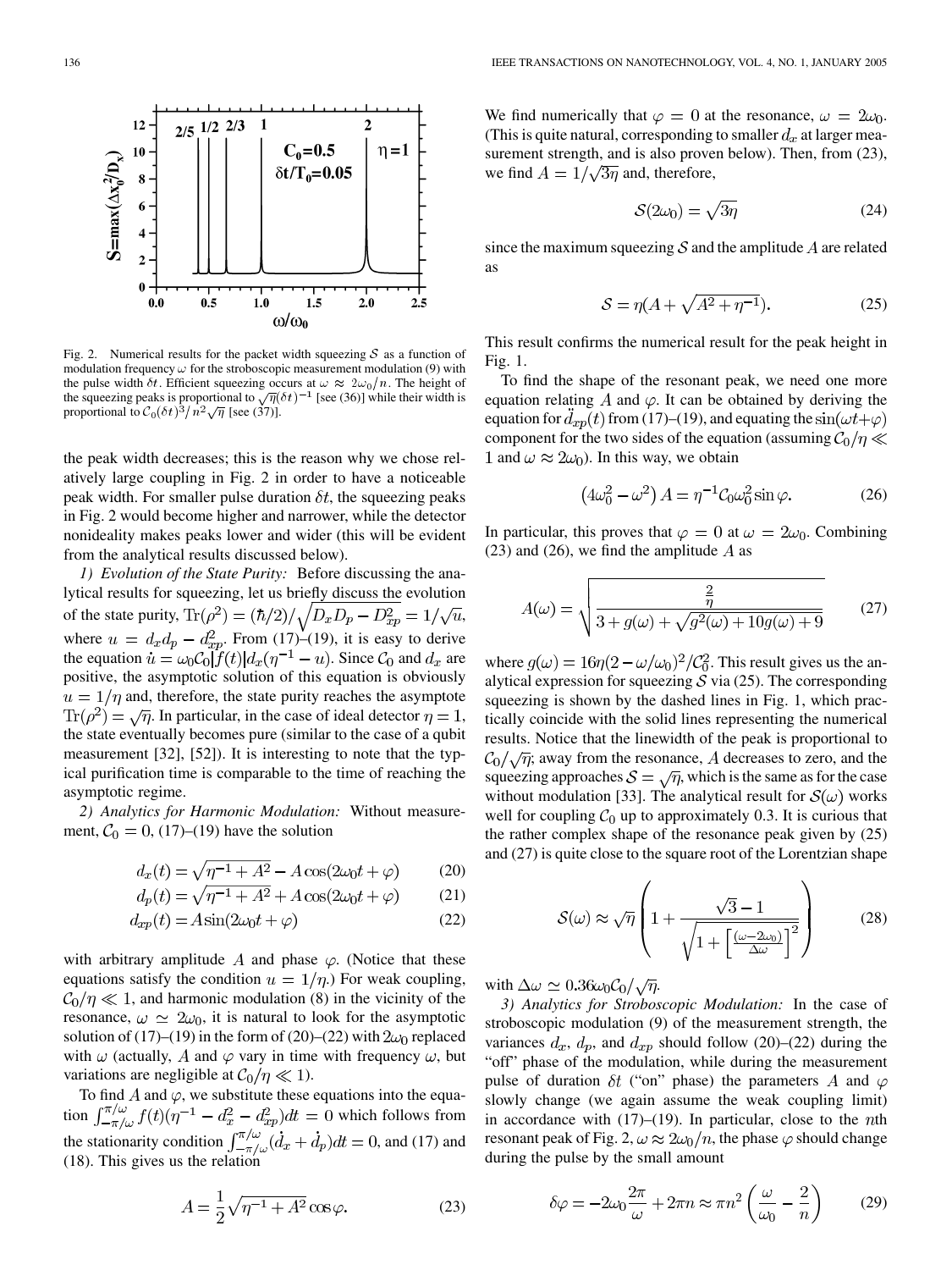

Fig. 2. Numerical results for the packet width squeezing  $S$  as a function of modulation frequency  $\omega$  for the stroboscopic measurement modulation (9) with the pulse width  $\delta t$ . Efficient squeezing occurs at  $\omega \approx 2\omega_0/n$ . The height of the squeezing peaks is proportional to  $\sqrt{\eta}(\delta t)^{-1}$  [see (36)] while their width is proportional to  $C_0 (\delta t)^3 / n^2 \sqrt{\eta}$  [see (37)].

the peak width decreases; this is the reason why we chose relatively large coupling in Fig. 2 in order to have a noticeable peak width. For smaller pulse duration  $\delta t$ , the squeezing peaks in Fig. 2 would become higher and narrower, while the detector nonideality makes peaks lower and wider (this will be evident from the analytical results discussed below).

*1) Evolution of the State Purity:* Before discussing the analytical results for squeezing, let us briefly discuss the evolution of the state purity,  $\text{Tr}(\rho^2) = (\hbar/2)/\sqrt{D_x D_p - D_{xp}^2} = 1/\sqrt{u}$ , where  $u = d_x d_p - d_{x}^2$ . From (17)–(19), it is easy to derive the equation  $\dot{u} = \omega_0 C_0 |f(t)| d_x (\eta^{-1} - u)$ . Since  $C_0$  and  $d_x$  are positive, the asymptotic solution of this equation is obviously  $a = 1/\eta$  and, therefore, the state purity reaches the asymptote  $\text{Tr}(\rho^2) = \sqrt{\eta}$ . In particular, in the case of ideal detector  $\eta = 1$ , the state eventually becomes pure (similar to the case of a qubit measurement [\[32](#page-8-0)], [[52\]](#page-8-0)). It is interesting to note that the typical purification time is comparable to the time of reaching the asymptotic regime.

*2) Analytics for Harmonic Modulation:* Without measurement,  $C_0 = 0$ , (17)–(19) have the solution

$$
d_x(t) = \sqrt{\eta^{-1} + A^2} - A\cos(2\omega_0 t + \varphi)
$$
 (20)

$$
d_p(t) = \sqrt{\eta^{-1} + A^2 + A\cos(2\omega_0 t + \varphi)}
$$
 (21)

$$
d_{xp}(t) = A\sin(2\omega_0 t + \varphi) \tag{22}
$$

with arbitrary amplitude A and phase  $\varphi$ . (Notice that these equations satisfy the condition  $u = 1/\eta$ .) For weak coupling,  $C_0/\eta \ll 1$ , and harmonic modulation (8) in the vicinity of the resonance,  $\omega \simeq 2\omega_0$ , it is natural to look for the asymptotic solution of (17)–(19) in the form of (20)–(22) with  $2\omega_0$  replaced with  $\omega$  (actually, A and  $\varphi$  vary in time with frequency  $\omega$ , but variations are negligible at  $C_0/\eta \ll 1$ ).

To find A and  $\varphi$ , we substitute these equations into the equation  $\int_{-\pi/\omega}^{\pi/\omega} f(t) (\eta^{-1} - d_x^2 - d_{xp}^2) dt = 0$  which follows from the stationarity condition  $\int_{-\pi/\omega}^{\pi/\omega} (d_x + d_p) dt = 0$ , and (17) and (18). This gives us the relation

$$
A = \frac{1}{2}\sqrt{\eta^{-1} + A^2} \cos \varphi.
$$
 (23)

We find numerically that  $\varphi = 0$  at the resonance,  $\omega = 2\omega_0$ . (This is quite natural, corresponding to smaller  $d_x$  at larger measurement strength, and is also proven below). Then, from (23), we find  $A = 1/\sqrt{3\eta}$  and, therefore,

$$
S(2\omega_0) = \sqrt{3\eta} \tag{24}
$$

since the maximum squeezing  $S$  and the amplitude  $A$  are related as

$$
S = \eta(A + \sqrt{A^2 + \eta^{-1}}). \tag{25}
$$

This result confirms the numerical result for the peak height in Fig. 1.

To find the shape of the resonant peak, we need one more equation relating A and  $\varphi$ . It can be obtained by deriving the equation for  $d_{xp}(t)$  from (17)–(19), and equating the  $sin(\omega t + \varphi)$ component for the two sides of the equation (assuming  $C_0/\eta \ll$ 1 and  $\omega \approx 2\omega_0$ ). In this way, we obtain

$$
\left(4\omega_0^2 - \omega^2\right)A = \eta^{-1}\mathcal{C}_0\omega_0^2\sin\varphi.
$$
 (26)

In particular, this proves that  $\varphi = 0$  at  $\omega = 2\omega_0$ . Combining (23) and (26), we find the amplitude  $\ddot{A}$  as

$$
A(\omega) = \sqrt{\frac{\frac{2}{\eta}}{3 + g(\omega) + \sqrt{g^2(\omega) + 10g(\omega) + 9}}}
$$
(27)

where  $g(\omega) = 16\eta(2 - \omega/\omega_0)^2/\mathcal{C}_0^2$ . This result gives us the analytical expression for squeezing  $S$  via (25). The corresponding squeezing is shown by the dashed lines in Fig. 1, which practically coincide with the solid lines representing the numerical results. Notice that the linewidth of the peak is proportional to  $\mathcal{C}_0/\sqrt{\eta}$ ; away from the resonance, A decreases to zero, and the squeezing approaches  $S = \sqrt{\eta}$ , which is the same as for the case without modulation [\[33](#page-8-0)]. The analytical result for  $S(\omega)$  works well for coupling  $\mathcal{C}_0$  up to approximately 0.3. It is curious that the rather complex shape of the resonance peak given by (25) and (27) is quite close to the square root of the Lorentzian shape

$$
S(\omega) \approx \sqrt{\eta} \left( 1 + \frac{\sqrt{3} - 1}{\sqrt{1 + \left[ \frac{(\omega - 2\omega_0)}{\Delta \omega} \right]^2}} \right) \tag{28}
$$

with  $\Delta\omega \simeq 0.36\omega_0C_0/\sqrt{\eta}$ .

*3) Analytics for Stroboscopic Modulation:* In the case of stroboscopic modulation (9) of the measurement strength, the variances  $d_x$ ,  $d_p$ , and  $d_{xp}$  should follow (20)–(22) during the "off" phase of the modulation, while during the measurement pulse of duration  $\delta t$  ("on" phase) the parameters A and  $\varphi$ slowly change (we again assume the weak coupling limit) in accordance with  $(17)–(19)$ . In particular, close to the *n*th resonant peak of Fig. 2,  $\omega \approx 2\omega_0/n$ , the phase  $\varphi$  should change during the pulse by the small amount

$$
\delta\varphi = -2\omega_0 \frac{2\pi}{\omega} + 2\pi n \approx \pi n^2 \left(\frac{\omega}{\omega_0} - \frac{2}{n}\right) \tag{29}
$$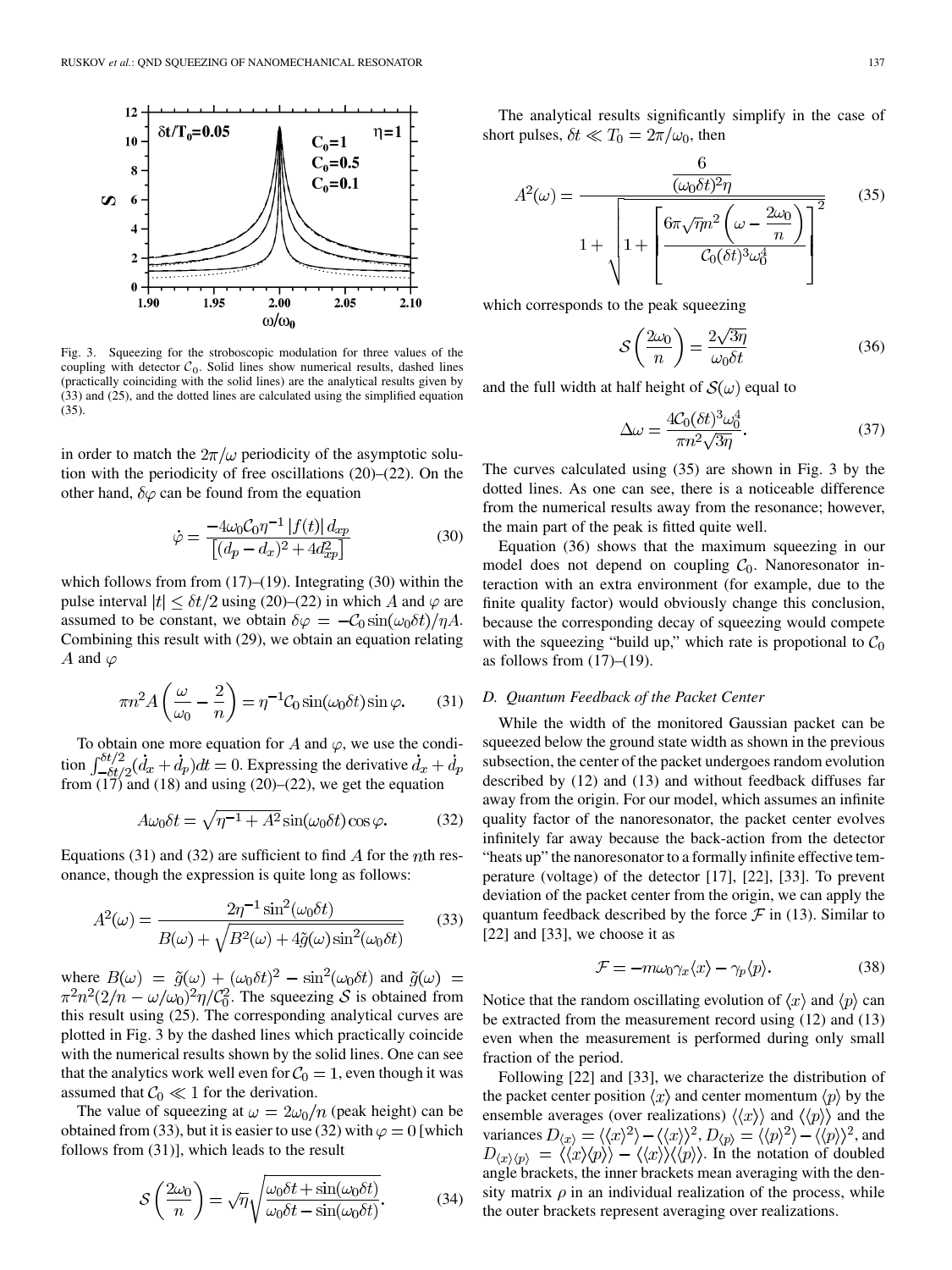

Fig. 3. Squeezing for the stroboscopic modulation for three values of the coupling with detector  $C_0$ . Solid lines show numerical results, dashed lines (practically coinciding with the solid lines) are the analytical results given by (33) and (25), and the dotted lines are calculated using the simplified equation (35).

in order to match the  $2\pi/\omega$  periodicity of the asymptotic solution with the periodicity of free oscillations (20)–(22). On the other hand,  $\delta\varphi$  can be found from the equation

$$
\dot{\varphi} = \frac{-4\omega_0 C_0 \eta^{-1} |f(t)| d_{xp}}{[(d_p - d_x)^2 + 4d_{xp}^2]}
$$
(30)

which follows from from  $(17)$ – $(19)$ . Integrating  $(30)$  within the pulse interval  $|t| \leq \delta t/2$  using (20)–(22) in which A and  $\varphi$  are assumed to be constant, we obtain  $\delta \varphi = -C_0 \sin(\omega_0 \delta t)/\eta A$ . Combining this result with (29), we obtain an equation relating A and  $\varphi$ 

$$
\pi n^2 A\left(\frac{\omega}{\omega_0} - \frac{2}{n}\right) = \eta^{-1} C_0 \sin(\omega_0 \delta t) \sin \varphi.
$$
 (31)

To obtain one more equation for A and  $\varphi$ , we use the condition  $\int_{-\delta t/2}^{\delta t/2} (d_x + d_p) dt = 0$ . Expressing the derivative from  $(17)$  and  $(18)$  and using  $(20)$ – $(22)$ , we get the equation

$$
A\omega_0 \delta t = \sqrt{\eta^{-1} + A^2} \sin(\omega_0 \delta t) \cos \varphi.
$$
 (32)

Equations (31) and (32) are sufficient to find  $\ddot{A}$  for the *n*th resonance, though the expression is quite long as follows:

$$
A^{2}(\omega) = \frac{2\eta^{-1}\sin^{2}(\omega_{0}\delta t)}{B(\omega) + \sqrt{B^{2}(\omega) + 4\tilde{g}(\omega)\sin^{2}(\omega_{0}\delta t)}}\tag{33}
$$

where  $B(\omega) = \tilde{g}(\omega) + (\omega_0 \delta t)^2 - \sin^2(\omega_0 \delta t)$  and  $\tilde{g}(\omega) =$  $\pi^2 n^2 (2/n - \omega/\omega_0)^2 \eta / C_0^2$ . The squeezing S is obtained from this result using (25). The corresponding analytical curves are plotted in Fig. 3 by the dashed lines which practically coincide with the numerical results shown by the solid lines. One can see that the analytics work well even for  $C_0 = 1$ , even though it was assumed that  $C_0 \ll 1$  for the derivation.

The value of squeezing at  $\omega = 2\omega_0/n$  (peak height) can be obtained from (33), but it is easier to use (32) with  $\varphi = 0$  [which follows from (31)], which leads to the result

$$
S\left(\frac{2\omega_0}{n}\right) = \sqrt{n}\sqrt{\frac{\omega_0 \delta t + \sin(\omega_0 \delta t)}{\omega_0 \delta t - \sin(\omega_0 \delta t)}}.
$$
(34)

The analytical results significantly simplify in the case of short pulses,  $\delta t \ll T_0 = 2\pi/\omega_0$ , then

$$
A^{2}(\omega) = \frac{\frac{6}{(\omega_{0}\delta t)^{2}\eta}}{1 + \sqrt{1 + \left[\frac{6\pi\sqrt{\eta}n^{2}(\omega - \frac{2\omega_{0}}{n})}{C_{0}(\delta t)^{3}\omega_{0}^{4}}\right]^{2}}}
$$
(35)

which corresponds to the peak squeezing

$$
S\left(\frac{2\omega_0}{n}\right) = \frac{2\sqrt{3\eta}}{\omega_0 \delta t} \tag{36}
$$

and the full width at half height of  $S(\omega)$  equal to

$$
\Delta \omega = \frac{4C_0(\delta t)^3 \omega_0^4}{\pi n^2 \sqrt{3\eta}}.
$$
\n(37)

The curves calculated using (35) are shown in Fig. 3 by the dotted lines. As one can see, there is a noticeable difference from the numerical results away from the resonance; however, the main part of the peak is fitted quite well.

Equation (36) shows that the maximum squeezing in our model does not depend on coupling  $C_0$ . Nanoresonator interaction with an extra environment (for example, due to the finite quality factor) would obviously change this conclusion, because the corresponding decay of squeezing would compete with the squeezing "build up," which rate is propotional to  $C_0$ as follows from  $(17)$ – $(19)$ .

## *D. Quantum Feedback of the Packet Center*

While the width of the monitored Gaussian packet can be squeezed below the ground state width as shown in the previous subsection, the center of the packet undergoes random evolution described by (12) and (13) and without feedback diffuses far away from the origin. For our model, which assumes an infinite quality factor of the nanoresonator, the packet center evolves infinitely far away because the back-action from the detector "heats up" the nanoresonator to a formally infinite effective temperature (voltage) of the detector [[17\]](#page-7-0), [[22\]](#page-7-0), [\[33](#page-8-0)]. To prevent deviation of the packet center from the origin, we can apply the quantum feedback described by the force  $\mathcal F$  in (13). Similar to [\[22](#page-7-0)] and [\[33](#page-8-0)], we choose it as

$$
\mathcal{F} = -m\omega_0 \gamma_x \langle x \rangle - \gamma_p \langle p \rangle. \tag{38}
$$

Notice that the random oscillating evolution of  $\langle x \rangle$  and  $\langle p \rangle$  can be extracted from the measurement record using (12) and (13) even when the measurement is performed during only small fraction of the period.

Following [\[22\]](#page-7-0) and [\[33](#page-8-0)], we characterize the distribution of the packet center position  $\langle x \rangle$  and center momentum  $\langle p \rangle$  by the ensemble averages (over realizations)  $\langle\langle x \rangle\rangle$  and  $\langle\langle p \rangle\rangle$  and the variances  $D_{\langle x \rangle} = \langle \langle x \rangle^2 \rangle - \langle \langle x \rangle \rangle^2$ ,  $D_{\langle p \rangle} = \langle \langle p \rangle^2 \rangle - \langle \langle p \rangle \rangle^2$ , and . In the notation of doubled angle brackets, the inner brackets mean averaging with the density matrix  $\rho$  in an individual realization of the process, while the outer brackets represent averaging over realizations.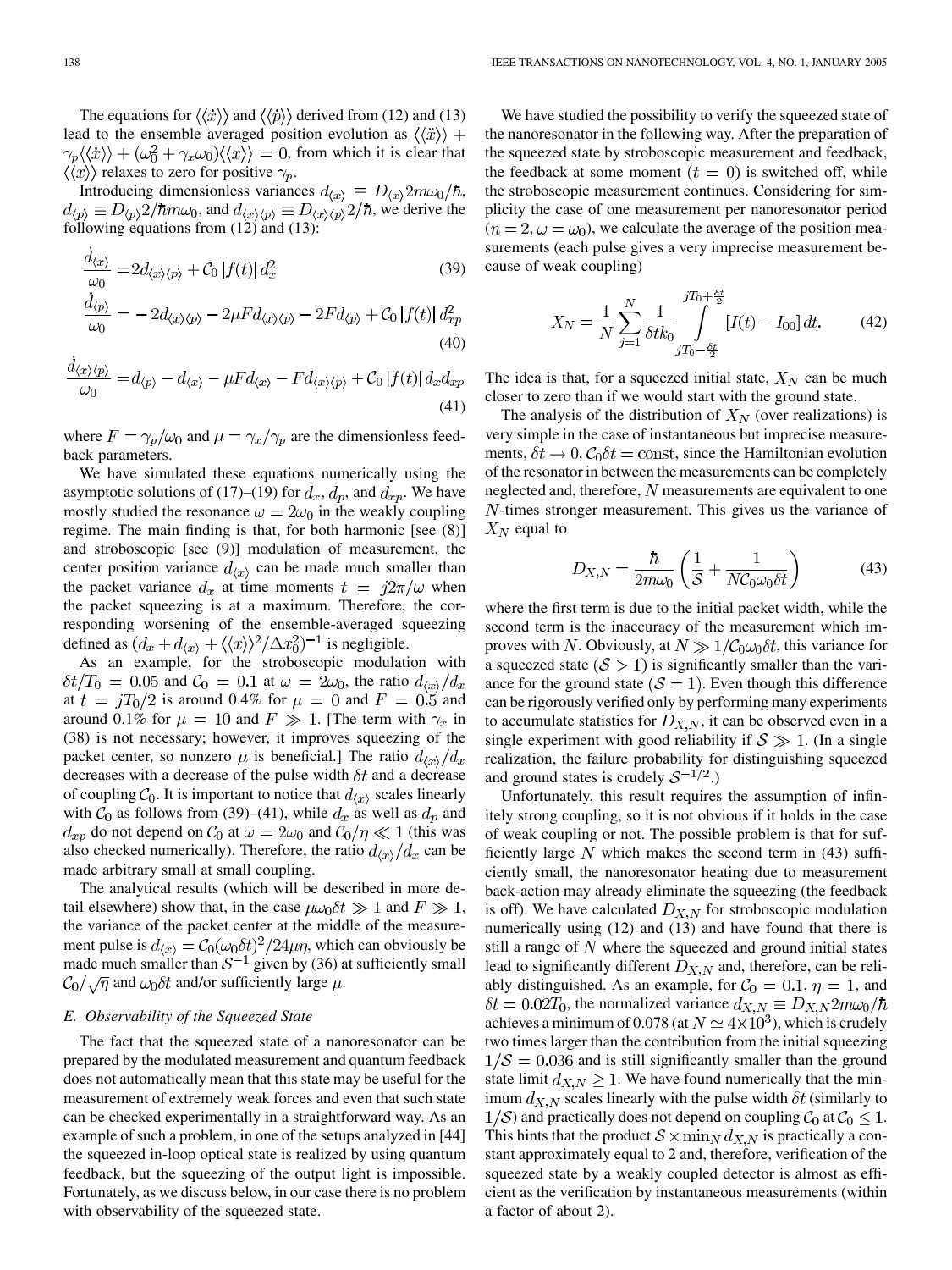The equations for  $\langle \langle \dot{x} \rangle \rangle$  and  $\langle \langle \dot{p} \rangle \rangle$  derived from (12) and (13) lead to the ensemble averaged position evolution as  $\langle \langle \ddot{x} \rangle \rangle$  +  $\langle \gamma_p \langle \langle \dot{x} \rangle \rangle + (\omega_0^2 + \gamma_x \omega_0) \langle \langle x \rangle \rangle = 0$ , from which it is clear that  $\langle\langle x\rangle\rangle$  relaxes to zero for positive  $\gamma_p$ .

Introducing dimensionless variances  $d_{\langle x \rangle} \equiv D_{\langle x \rangle} 2m \omega_0 / \hbar$ ,  $d_{\langle p \rangle} \equiv D_{\langle p \rangle} 2/\hbar m \omega_0$ , and  $d_{\langle x \rangle \langle p \rangle} \equiv D_{\langle x \rangle \langle p \rangle} 2/\hbar$ , we derive the following equations from (12) and (13):

$$
\frac{d_{\langle x \rangle}}{\omega_0} = 2d_{\langle x \rangle \langle p \rangle} + C_0 |f(t)| d_x^2
$$
\n
$$
\frac{d_{\langle p \rangle}}{\omega_0} = 2d_{\langle p \rangle} = 2d_{\langle p \rangle} = 2\pi d_{\langle p \rangle} = 2\pi d_{\langle p \rangle} = 2\pi d_{\langle p \rangle} = 2\pi d_{\langle p \rangle} = 2\pi d_{\langle p \rangle} = 2\pi d_{\langle p \rangle} = 2\pi d_{\langle p \rangle}
$$
\n(39)

$$
\frac{\Delta \nu}{\omega_0} = -2d_{\langle x \rangle \langle p \rangle} - 2\mu F d_{\langle x \rangle \langle p \rangle} - 2F d_{\langle p \rangle} + C_0 |f(t)| d_{xp}^2
$$
\n(40)

$$
\frac{d\langle x \rangle \langle p \rangle}{\omega_0} = d\langle p \rangle - d\langle x \rangle - \mu F d\langle x \rangle - F d\langle x \rangle \langle p \rangle + C_0 |f(t)| d_x d_{xp}
$$
\n(41)

where  $F = \gamma_p/\omega_0$  and  $\mu = \gamma_x/\gamma_p$  are the dimensionless feedback parameters.

We have simulated these equations numerically using the asymptotic solutions of (17)–(19) for  $d_x$ ,  $d_p$ , and  $d_{xp}$ . We have mostly studied the resonance  $\omega = 2\omega_0$  in the weakly coupling regime. The main finding is that, for both harmonic [see (8)] and stroboscopic [see (9)] modulation of measurement, the center position variance  $d_{\langle x \rangle}$  can be made much smaller than the packet variance  $d_x$  at time moments  $t = i2\pi/\omega$  when the packet squeezing is at a maximum. Therefore, the corresponding worsening of the ensemble-averaged squeezing defined as  $\left(d_x + d_{\langle x \rangle} + \langle \langle x \rangle \rangle^2 / \Delta x_0^2\right)^{-1}$  is negligible.

As an example, for the stroboscopic modulation with  $\delta t/T_0 = 0.05$  and  $C_0 = 0.1$  at  $\omega = 2\omega_0$ , the ratio  $d_{\langle x \rangle}/d_x$ at  $t = jT_0/2$  is around 0.4% for  $\mu = 0$  and  $F = 0.5$  and around 0.1% for  $\mu = 10$  and  $F \gg 1$ . [The term with  $\gamma_x$  in (38) is not necessary; however, it improves squeezing of the packet center, so nonzero  $\mu$  is beneficial.] The ratio  $d_{\langle x \rangle}/d_x$ decreases with a decrease of the pulse width  $\delta t$  and a decrease of coupling  $C_0$ . It is important to notice that  $d_{\langle x \rangle}$  scales linearly with  $C_0$  as follows from (39)–(41), while  $d_x$  as well as  $d_p$  and  $d_{xp}$  do not depend on  $\mathcal{C}_0$  at  $\omega = 2\omega_0$  and  $\mathcal{C}_0/\eta \ll 1$  (this was also checked numerically). Therefore, the ratio  $d_{\langle x \rangle}/d_x$  can be made arbitrary small at small coupling.

The analytical results (which will be described in more detail elsewhere) show that, in the case  $\mu\omega_0 \delta t \gg 1$  and  $F \gg 1$ , the variance of the packet center at the middle of the measurement pulse is  $d_{\langle x \rangle} = C_0(\omega_0 \delta t)^2 / 24\mu \eta$ , which can obviously be made much smaller than  $S^{-1}$  given by (36) at sufficiently small  $\mathcal{C}_0/\sqrt{\eta}$  and  $\omega_0\delta t$  and/or sufficiently large  $\mu$ .

## *E. Observability of the Squeezed State*

The fact that the squeezed state of a nanoresonator can be prepared by the modulated measurement and quantum feedback does not automatically mean that this state may be useful for the measurement of extremely weak forces and even that such state can be checked experimentally in a straightforward way. As an example of such a problem, in one of the setups analyzed in [\[44](#page-8-0)] the squeezed in-loop optical state is realized by using quantum feedback, but the squeezing of the output light is impossible. Fortunately, as we discuss below, in our case there is no problem with observability of the squeezed state.

We have studied the possibility to verify the squeezed state of the nanoresonator in the following way. After the preparation of the squeezed state by stroboscopic measurement and feedback, the feedback at some moment  $(t = 0)$  is switched off, while the stroboscopic measurement continues. Considering for simplicity the case of one measurement per nanoresonator period  $(n = 2, \omega = \omega_0)$ , we calculate the average of the position measurements (each pulse gives a very imprecise measurement because of weak coupling)

$$
X_N = \frac{1}{N} \sum_{j=1}^N \frac{1}{\delta t k_0} \int_{jT_0 - \frac{\delta t}{2}}^{jT_0 + \frac{\delta t}{2}} [I(t) - I_{00}] dt.
$$
 (42)

The idea is that, for a squeezed initial state,  $X_N$  can be much closer to zero than if we would start with the ground state.

The analysis of the distribution of  $X_N$  (over realizations) is very simple in the case of instantaneous but imprecise measurements,  $\delta t \to 0$ ,  $C_0 \delta t = \text{const}$ , since the Hamiltonian evolution of the resonator in between the measurements can be completely neglected and, therefore,  $N$  measurements are equivalent to one  $N$ -times stronger measurement. This gives us the variance of  $X_N$  equal to

$$
D_{X,N} = \frac{\hbar}{2m\omega_0} \left( \frac{1}{S} + \frac{1}{N C_0 \omega_0 \delta t} \right) \tag{43}
$$

where the first term is due to the initial packet width, while the second term is the inaccuracy of the measurement which improves with N. Obviously, at  $N \gg 1/C_0\omega_0 \delta t$ , this variance for a squeezed state  $(S > 1)$  is significantly smaller than the variance for the ground state  $(S = 1)$ . Even though this difference can be rigorously verified only by performing many experiments to accumulate statistics for  $D_{X,N}$ , it can be observed even in a single experiment with good reliability if  $S \gg 1$ . (In a single realization, the failure probability for distinguishing squeezed and ground states is crudely  $S^{-1/2}$ .)

Unfortunately, this result requires the assumption of infinitely strong coupling, so it is not obvious if it holds in the case of weak coupling or not. The possible problem is that for sufficiently large  $N$  which makes the second term in (43) sufficiently small, the nanoresonator heating due to measurement back-action may already eliminate the squeezing (the feedback is off). We have calculated  $D_{X,N}$  for stroboscopic modulation numerically using (12) and (13) and have found that there is still a range of  $N$  where the squeezed and ground initial states lead to significantly different  $D_{X,N}$  and, therefore, can be reliably distinguished. As an example, for  $C_0 = 0.1$ ,  $\eta = 1$ , and  $\delta t = 0.02T_0$ , the normalized variance  $d_{X,N} \equiv D_{X,N} 2m\omega_0/\hbar$ achieves a minimum of 0.078 (at  $N \simeq 4 \times 10^3$ ), which is crudely two times larger than the contribution from the initial squeezing  $1/\mathcal{S} = 0.036$  and is still significantly smaller than the ground state limit  $d_{X,N} \geq 1$ . We have found numerically that the minimum  $d_{X,N}$  scales linearly with the pulse width  $\delta t$  (similarly to  $1/S$ ) and practically does not depend on coupling  $C_0$  at  $C_0 \leq 1$ . This hints that the product  $S \times \min_N d_{X,N}$  is practically a constant approximately equal to 2 and, therefore, verification of the squeezed state by a weakly coupled detector is almost as efficient as the verification by instantaneous measurements (within a factor of about 2).

 $\ddot{ }$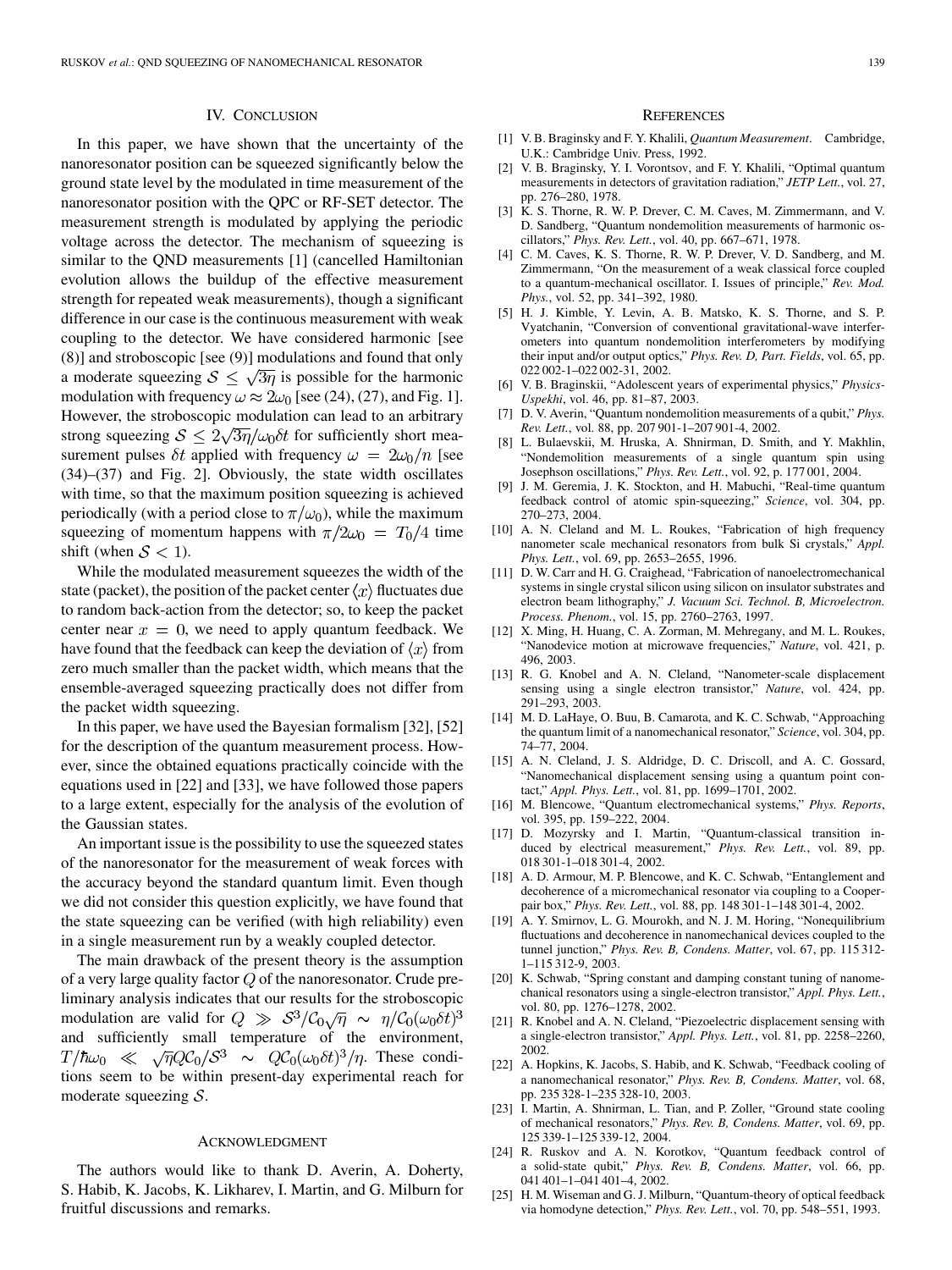## IV. CONCLUSION

<span id="page-7-0"></span>In this paper, we have shown that the uncertainty of the nanoresonator position can be squeezed significantly below the ground state level by the modulated in time measurement of the nanoresonator position with the QPC or RF-SET detector. The measurement strength is modulated by applying the periodic voltage across the detector. The mechanism of squeezing is similar to the QND measurements [1] (cancelled Hamiltonian evolution allows the buildup of the effective measurement strength for repeated weak measurements), though a significant difference in our case is the continuous measurement with weak coupling to the detector. We have considered harmonic [see (8)] and stroboscopic [see (9)] modulations and found that only a moderate squeezing  $S \leq \sqrt{3\eta}$  is possible for the harmonic modulation with frequency  $\omega \approx 2\omega_0$  [see (24), (27), and Fig. 1]. However, the stroboscopic modulation can lead to an arbitrary strong squeezing  $\mathcal{S} \leq 2\sqrt{3\eta}/\omega_0 \delta t$  for sufficiently short measurement pulses  $\delta t$  applied with frequency  $\omega = 2\omega_0/n$  [see (34)–(37) and Fig. 2]. Obviously, the state width oscillates with time, so that the maximum position squeezing is achieved periodically (with a period close to  $\pi/\omega_0$ ), while the maximum squeezing of momentum happens with  $\pi/2\omega_0 = T_0/4$  time shift (when  $S < 1$ ).

While the modulated measurement squeezes the width of the state (packet), the position of the packet center  $\langle x \rangle$  fluctuates due to random back-action from the detector; so, to keep the packet center near  $x = 0$ , we need to apply quantum feedback. We have found that the feedback can keep the deviation of  $\langle x \rangle$  from zero much smaller than the packet width, which means that the ensemble-averaged squeezing practically does not differ from the packet width squeezing.

In this paper, we have used the Bayesian formalism [[32\]](#page-8-0), [[52\]](#page-8-0) for the description of the quantum measurement process. However, since the obtained equations practically coincide with the equations used in [22] and [[33\]](#page-8-0), we have followed those papers to a large extent, especially for the analysis of the evolution of the Gaussian states.

An important issue is the possibility to use the squeezed states of the nanoresonator for the measurement of weak forces with the accuracy beyond the standard quantum limit. Even though we did not consider this question explicitly, we have found that the state squeezing can be verified (with high reliability) even in a single measurement run by a weakly coupled detector.

The main drawback of the present theory is the assumption of a very large quality factor  $Q$  of the nanoresonator. Crude preliminary analysis indicates that our results for the stroboscopic modulation are valid for  $Q \gg S^3/\mathcal{C}_0\sqrt{\eta} \sim \eta/\mathcal{C}_0(\omega_0\delta t)^3$ and sufficiently small temperature of the environment,  $T/\hbar\omega_0 \ll \sqrt{\eta}Q\mathcal{C}_0/S^3 \sim Q\mathcal{C}_0(\omega_0\delta t)^3/\eta$ . These conditions seem to be within present-day experimental reach for moderate squeezing  $S$ .

## ACKNOWLEDGMENT

The authors would like to thank D. Averin, A. Doherty, S. Habib, K. Jacobs, K. Likharev, I. Martin, and G. Milburn for fruitful discussions and remarks.

### **REFERENCES**

- [1] V. B. Braginsky and F. Y. Khalili, *Quantum Measurement*. Cambridge, U.K.: Cambridge Univ. Press, 1992.
- [2] V. B. Braginsky, Y. I. Vorontsov, and F. Y. Khalili, "Optimal quantum measurements in detectors of gravitation radiation," *JETP Lett.*, vol. 27, pp. 276–280, 1978.
- [3] K. S. Thorne, R. W. P. Drever, C. M. Caves, M. Zimmermann, and V. D. Sandberg, "Quantum nondemolition measurements of harmonic oscillators," *Phys. Rev. Lett.*, vol. 40, pp. 667–671, 1978.
- [4] C. M. Caves, K. S. Thorne, R. W. P. Drever, V. D. Sandberg, and M. Zimmermann, "On the measurement of a weak classical force coupled to a quantum-mechanical oscillator. I. Issues of principle," *Rev. Mod. Phys.*, vol. 52, pp. 341–392, 1980.
- [5] H. J. Kimble, Y. Levin, A. B. Matsko, K. S. Thorne, and S. P. Vyatchanin, "Conversion of conventional gravitational-wave interferometers into quantum nondemolition interferometers by modifying their input and/or output optics," *Phys. Rev. D, Part. Fields*, vol. 65, pp. 022 002-1–022 002-31, 2002.
- [6] V. B. Braginskii, "Adolescent years of experimental physics," *Physics-Uspekhi*, vol. 46, pp. 81–87, 2003.
- [7] D. V. Averin, "Quantum nondemolition measurements of a qubit," *Phys. Rev. Lett.*, vol. 88, pp. 207 901-1–207 901-4, 2002.
- [8] L. Bulaevskii, M. Hruska, A. Shnirman, D. Smith, and Y. Makhlin, "Nondemolition measurements of a single quantum spin using Josephson oscillations," *Phys. Rev. Lett.*, vol. 92, p. 177 001, 2004.
- [9] J. M. Geremia, J. K. Stockton, and H. Mabuchi, "Real-time quantum feedback control of atomic spin-squeezing," *Science*, vol. 304, pp. 270–273, 2004.
- [10] A. N. Cleland and M. L. Roukes, "Fabrication of high frequency nanometer scale mechanical resonators from bulk Si crystals," *Appl. Phys. Lett.*, vol. 69, pp. 2653–2655, 1996.
- [11] D. W. Carr and H. G. Craighead, "Fabrication of nanoelectromechanical systems in single crystal silicon using silicon on insulator substrates and electron beam lithography," *J. Vacuum Sci. Technol. B, Microelectron. Process. Phenom.*, vol. 15, pp. 2760–2763, 1997.
- [12] X. Ming, H. Huang, C. A. Zorman, M. Mehregany, and M. L. Roukes, "Nanodevice motion at microwave frequencies," *Nature*, vol. 421, p. 496, 2003.
- [13] R. G. Knobel and A. N. Cleland, "Nanometer-scale displacement sensing using a single electron transistor," *Nature*, vol. 424, pp. 291–293, 2003.
- [14] M. D. LaHaye, O. Buu, B. Camarota, and K. C. Schwab, "Approaching the quantum limit of a nanomechanical resonator," *Science*, vol. 304, pp. 74–77, 2004.
- [15] A. N. Cleland, J. S. Aldridge, D. C. Driscoll, and A. C. Gossard, "Nanomechanical displacement sensing using a quantum point contact," *Appl. Phys. Lett.*, vol. 81, pp. 1699–1701, 2002.
- [16] M. Blencowe, "Quantum electromechanical systems," *Phys. Reports*, vol. 395, pp. 159–222, 2004.
- [17] D. Mozyrsky and I. Martin, "Quantum-classical transition induced by electrical measurement," *Phys. Rev. Lett.*, vol. 89, pp. 018 301-1–018 301-4, 2002.
- [18] A. D. Armour, M. P. Blencowe, and K. C. Schwab, "Entanglement and decoherence of a micromechanical resonator via coupling to a Cooperpair box," *Phys. Rev. Lett.*, vol. 88, pp. 148 301-1–148 301-4, 2002.
- [19] A. Y. Smirnov, L. G. Mourokh, and N. J. M. Horing, "Nonequilibrium fluctuations and decoherence in nanomechanical devices coupled to the tunnel junction," *Phys. Rev. B, Condens. Matter*, vol. 67, pp. 115 312- 1–115 312-9, 2003.
- [20] K. Schwab, "Spring constant and damping constant tuning of nanomechanical resonators using a single-electron transistor," *Appl. Phys. Lett.*, vol. 80, pp. 1276–1278, 2002.
- [21] R. Knobel and A. N. Cleland, "Piezoelectric displacement sensing with a single-electron transistor," *Appl. Phys. Lett.*, vol. 81, pp. 2258–2260, 2002.
- [22] A. Hopkins, K. Jacobs, S. Habib, and K. Schwab, "Feedback cooling of a nanomechanical resonator," *Phys. Rev. B, Condens. Matter*, vol. 68, pp. 235 328-1–235 328-10, 2003.
- [23] I. Martin, A. Shnirman, L. Tian, and P. Zoller, "Ground state cooling of mechanical resonators," *Phys. Rev. B, Condens. Matter*, vol. 69, pp. 125 339-1–125 339-12, 2004.
- [24] R. Ruskov and A. N. Korotkov, "Quantum feedback control of a solid-state qubit," *Phys. Rev. B, Condens. Matter*, vol. 66, pp. 041 401–1–041 401–4, 2002.
- [25] H. M. Wiseman and G. J. Milburn, "Quantum-theory of optical feedback via homodyne detection," *Phys. Rev. Lett.*, vol. 70, pp. 548–551, 1993.